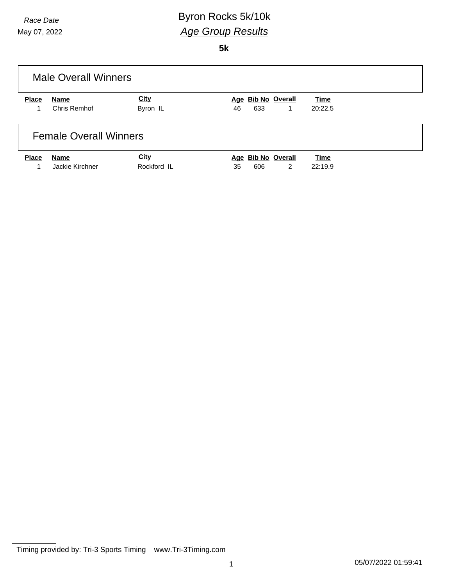## *Race Date* **Byron Rocks** 5k/10k *Age Group Results*

**5k**

| <b>Male Overall Winners</b> |                               |             |                          |             |  |
|-----------------------------|-------------------------------|-------------|--------------------------|-------------|--|
| <b>Place</b>                | Name                          | City        | Age Bib No Overall       | <b>Time</b> |  |
|                             | Chris Remhof                  | Byron IL    | 633<br>46<br>$\mathbf 1$ | 20:22.5     |  |
|                             | <b>Female Overall Winners</b> |             |                          |             |  |
| <b>Place</b>                | <b>Name</b>                   | City        | Age Bib No Overall       | Time        |  |
|                             | Jackie Kirchner               | Rockford IL | 2<br>606<br>35           | 22:19.9     |  |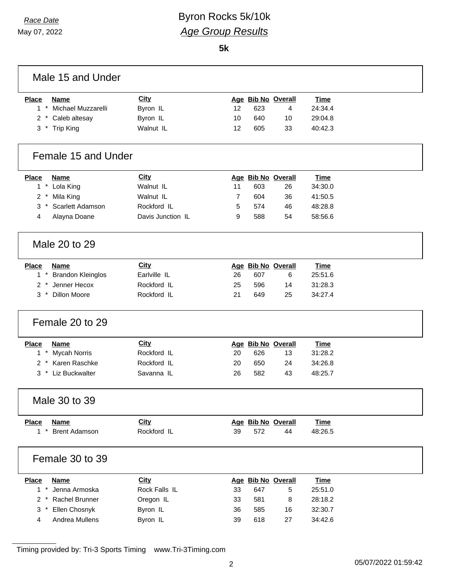## *Race Date* Byron Rocks 5k/10k *Age Group Results*

**5k**

| Male 15 and Under                      |                   |    |     |                    |             |  |
|----------------------------------------|-------------------|----|-----|--------------------|-------------|--|
| <b>Place</b><br><b>Name</b>            | <b>City</b>       |    |     | Age Bib No Overall | <b>Time</b> |  |
| $1*$<br>Michael Muzzarelli             | Byron IL          | 12 | 623 | 4                  | 24:34.4     |  |
| 2 * Caleb altesay                      | Byron IL          | 10 | 640 | 10                 | 29:04.8     |  |
| 3 * Trip King                          | Walnut IL         | 12 | 605 | 33                 | 40:42.3     |  |
| Female 15 and Under                    |                   |    |     |                    |             |  |
| Place<br><b>Name</b>                   | <b>City</b>       |    |     | Age Bib No Overall | <b>Time</b> |  |
| $1*$<br>Lola King                      | Walnut IL         | 11 | 603 | 26                 | 34:30.0     |  |
| $\overline{2}$<br>Mila King<br>$\cdot$ | Walnut IL         | 7  | 604 | 36                 | 41:50.5     |  |
| Scarlett Adamson<br>3                  | Rockford IL       | 5  | 574 | 46                 | 48:28.8     |  |
| Alayna Doane<br>4                      | Davis Junction IL | 9  | 588 | 54                 | 58:56.6     |  |
| Male 20 to 29                          |                   |    |     |                    |             |  |
| <b>Place</b><br><b>Name</b>            | City              |    |     | Age Bib No Overall | <b>Time</b> |  |
| $1$ $*$<br><b>Brandon Kleinglos</b>    | Earlville IL      | 26 | 607 | 6                  | 25:51.6     |  |
| 2 * Jenner Hecox                       | Rockford IL       | 25 | 596 | 14                 | 31:28.3     |  |
| $3$ *<br><b>Dillon Moore</b>           | Rockford IL       | 21 | 649 | 25                 | 34:27.4     |  |
| Female 20 to 29                        |                   |    |     |                    |             |  |
| <b>Place</b><br><b>Name</b>            | <b>City</b>       |    |     | Age Bib No Overall | <b>Time</b> |  |
| <b>Mycah Norris</b><br>$1*$            | Rockford IL       | 20 | 626 | 13                 | 31:28.2     |  |
| 2 * Karen Raschke                      | Rockford IL       | 20 | 650 | 24                 | 34:26.8     |  |
| 3 * Liz Buckwalter                     | Savanna IL        | 26 | 582 | 43                 | 48:25.7     |  |
| Male 30 to 39                          |                   |    |     |                    |             |  |
| <b>Name</b><br><b>Place</b>            | <b>City</b>       |    |     | Age Bib No Overall | <b>Time</b> |  |
| $1 *$<br><b>Brent Adamson</b>          | Rockford IL       | 39 | 572 | 44                 | 48:26.5     |  |
| Female 30 to 39                        |                   |    |     |                    |             |  |
| <b>Place</b><br><b>Name</b>            | City              |    |     | Age Bib No Overall | <b>Time</b> |  |
| $1 *$<br>Jenna Armoska                 | Rock Falls IL     | 33 | 647 | 5                  | 25:51.0     |  |
| Rachel Brunner<br>$2 *$                | Oregon IL         | 33 | 581 | 8                  | 28:18.2     |  |
| Ellen Chosnyk<br>3<br>$\ast$           | Byron IL          | 36 | 585 | 16                 | 32:30.7     |  |
| Andrea Mullens<br>4                    | Byron IL          | 39 | 618 | 27                 | 34:42.6     |  |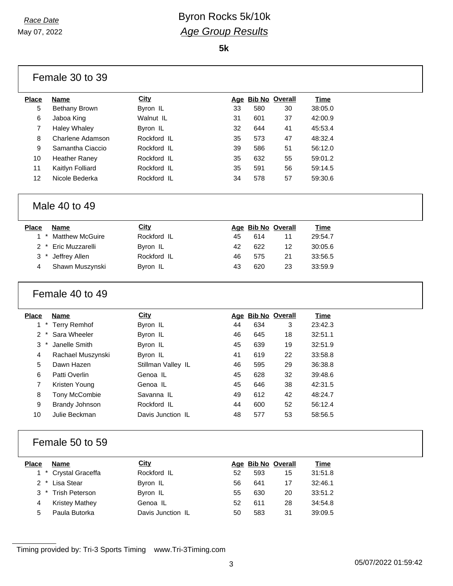#### *Race Date* **Byron Rocks** 5k/10k *Age Group Results*

**5k**

|                         | Female 30 to 39         |                    |    |                    |    |             |  |
|-------------------------|-------------------------|--------------------|----|--------------------|----|-------------|--|
| <b>Place</b>            | <b>Name</b>             | City               |    | Age Bib No Overall |    | <b>Time</b> |  |
| 5                       | <b>Bethany Brown</b>    | Byron IL           | 33 | 580                | 30 | 38:05.0     |  |
| 6                       | Jaboa King              | Walnut IL          | 31 | 601                | 37 | 42:00.9     |  |
| $\overline{7}$          | <b>Haley Whaley</b>     | Byron IL           | 32 | 644                | 41 | 45:53.4     |  |
| 8                       | <b>Charlene Adamson</b> | Rockford IL        | 35 | 573                | 47 | 48:32.4     |  |
| 9                       | Samantha Ciaccio        | Rockford IL        | 39 | 586                | 51 | 56:12.0     |  |
| 10                      | <b>Heather Raney</b>    | Rockford IL        | 35 | 632                | 55 | 59:01.2     |  |
| 11                      | Kaitlyn Folliard        | Rockford IL        | 35 | 591                | 56 | 59:14.5     |  |
| 12                      | Nicole Bederka          | Rockford IL        | 34 | 578                | 57 | 59:30.6     |  |
|                         | Male 40 to 49           |                    |    |                    |    |             |  |
| <b>Place</b>            | <b>Name</b>             | <b>City</b>        |    | Age Bib No Overall |    | <b>Time</b> |  |
| $\star$<br>$\mathbf{1}$ | <b>Matthew McGuire</b>  | Rockford IL        | 45 | 614                | 11 | 29:54.7     |  |
| $\overline{2}$          | Eric Muzzarelli         | Byron IL           | 42 | 622                | 12 | 30:05.6     |  |
| 3                       | Jeffrey Allen           | Rockford IL        | 46 | 575                | 21 | 33:56.5     |  |
| 4                       | Shawn Muszynski         | Byron IL           | 43 | 620                | 23 | 33:59.9     |  |
|                         | Female 40 to 49         |                    |    |                    |    |             |  |
| <b>Place</b>            | <b>Name</b>             | <b>City</b>        |    | Age Bib No Overall |    | <b>Time</b> |  |
| $\star$<br>1            | <b>Terry Remhof</b>     | Byron IL           | 44 | 634                | 3  | 23:42.3     |  |
| $\star$<br>2            | Sara Wheeler            | Byron IL           | 46 | 645                | 18 | 32:51.1     |  |
| 3                       | Janelle Smith           | Byron IL           | 45 | 639                | 19 | 32:51.9     |  |
| 4                       | Rachael Muszynski       | Byron IL           | 41 | 619                | 22 | 33:58.8     |  |
| 5                       | Dawn Hazen              | Stillman Valley IL | 46 | 595                | 29 | 36:38.8     |  |
| 6                       | Patti Overlin           | Genoa IL           | 45 | 628                | 32 | 39:48.6     |  |
| 7                       | Kristen Young           | Genoa IL           | 45 | 646                | 38 | 42:31.5     |  |
| 8                       |                         |                    |    |                    |    |             |  |
|                         | Tony McCombie           | Savanna IL         | 49 | 612                | 42 | 48:24.7     |  |
| 9                       | <b>Brandy Johnson</b>   | Rockford IL        | 44 | 600                | 52 | 56:12.4     |  |
| 10                      | Julie Beckman           | Davis Junction IL  | 48 | 577                | 53 | 58:56.5     |  |
|                         | Female 50 to 59         |                    |    |                    |    |             |  |
| <b>Place</b>            | <b>Name</b>             | <b>City</b>        |    | Age Bib No Overall |    | <b>Time</b> |  |
| $1 *$                   | Crystal Graceffa        | Rockford IL        | 52 | 593                | 15 | 31:51.8     |  |
| $2 *$                   | Lisa Stear              | Byron IL           | 56 | 641                | 17 | 32:46.1     |  |
| 3                       | <b>Trish Peterson</b>   | Byron IL           | 55 | 630                | 20 | 33:51.2     |  |
| 4                       | <b>Kristey Mathey</b>   | Genoa IL           | 52 | 611                | 28 | 34:54.8     |  |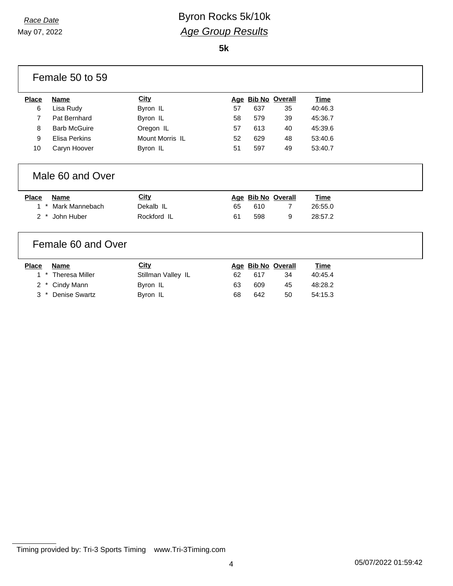#### *Race Date* Byron Rocks 5k/10k *Age Group Results*

**5k**

|              | Female 50 to 59       |                      |    |     |                    |             |
|--------------|-----------------------|----------------------|----|-----|--------------------|-------------|
| <b>Place</b> | <b>Name</b>           | City                 |    |     | Age Bib No Overall | Time        |
| 6            | Lisa Rudy             | Byron IL             | 57 | 637 | 35                 | 40:46.3     |
| 7            | Pat Bernhard          | Byron IL             | 58 | 579 | 39                 | 45:36.7     |
| 8            | <b>Barb McGuire</b>   | Oregon IL            | 57 | 613 | 40                 | 45:39.6     |
| 9            | <b>Elisa Perkins</b>  | Mount Morris IL      | 52 | 629 | 48                 | 53:40.6     |
| 10           | Caryn Hoover          | Byron IL             | 51 | 597 | 49                 | 53:40.7     |
|              | Male 60 and Over      |                      |    |     |                    |             |
|              |                       |                      |    |     |                    |             |
| <b>Place</b> | <b>Name</b>           | <b>City</b>          |    |     | Age Bib No Overall | Time        |
| 1            | Mark Mannebach        | Dekalb <sub>IL</sub> | 65 | 610 | 7                  | 26:55.0     |
| 2            | John Huber            | Rockford IL          | 61 | 598 | 9                  | 28:57.2     |
|              | Female 60 and Over    |                      |    |     |                    |             |
| <b>Place</b> | <b>Name</b>           | <b>City</b>          |    |     | Age Bib No Overall | <b>Time</b> |
| $^\ast$<br>1 | <b>Theresa Miller</b> | Stillman Valley IL   | 62 | 617 | 34                 | 40:45.4     |
| 2            | Cindy Mann            | Byron IL             | 63 | 609 | 45                 | 48:28.2     |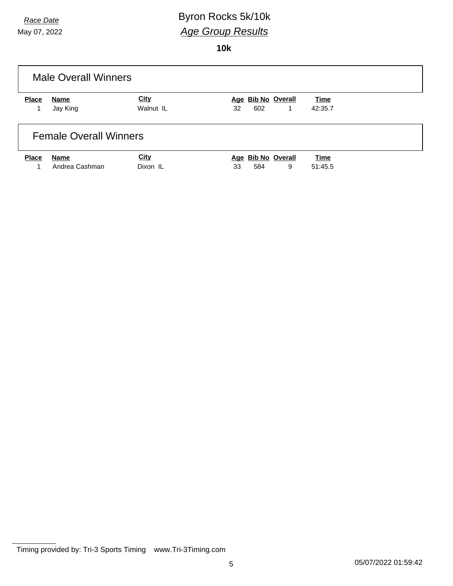## *Race Date* **Byron Rocks** 5k/10k *Age Group Results*

**10k**

| <b>Male Overall Winners</b> |                               |             |                    |             |  |
|-----------------------------|-------------------------------|-------------|--------------------|-------------|--|
| <b>Place</b>                | Name                          | <b>City</b> | Age Bib No Overall | <b>Time</b> |  |
|                             | Jay King                      | Walnut IL   | 602<br>32<br>1.    | 42:35.7     |  |
|                             | <b>Female Overall Winners</b> |             |                    |             |  |
| <b>Place</b>                | Name                          | City        | Age Bib No Overall | Time        |  |
|                             | Andrea Cashman                | Dixon IL    | 9<br>584<br>33     | 51:45.5     |  |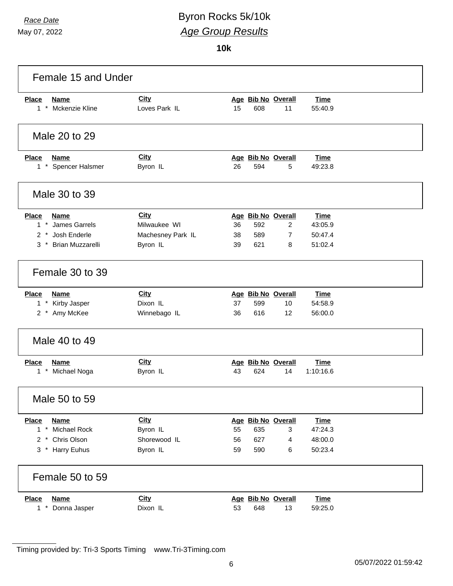## *Race Date* **Byron Rocks** 5k/10k *Age Group Results*

**10k**

| Female 15 and Under                                       |                   |                                          |                    |  |
|-----------------------------------------------------------|-------------------|------------------------------------------|--------------------|--|
| <b>Place</b><br><b>Name</b>                               | <b>City</b>       | Age Bib No Overall                       | <b>Time</b>        |  |
| 1 * Mckenzie Kline                                        | Loves Park IL     | 15<br>608<br>11                          | 55:40.9            |  |
| Male 20 to 29                                             |                   |                                          |                    |  |
| <b>Place</b><br><b>Name</b>                               | <b>City</b>       | Age Bib No Overall                       | <b>Time</b>        |  |
| 1 * Spencer Halsmer                                       | Byron IL          | 26<br>594<br>5                           | 49:23.8            |  |
| Male 30 to 39                                             |                   |                                          |                    |  |
| <b>Place</b><br><b>Name</b>                               | City              | Age Bib No Overall                       | <b>Time</b>        |  |
| 1 * James Garrels                                         | Milwaukee WI      | 592<br>$\overline{2}$<br>36              | 43:05.9            |  |
| $2 *$<br>Josh Enderle<br><b>Brian Muzzarelli</b><br>$3^*$ | Machesney Park IL | 589<br>$\overline{7}$<br>38<br>621<br>39 | 50:47.4<br>51:02.4 |  |
|                                                           | Byron IL          | 8                                        |                    |  |
| Female 30 to 39                                           |                   |                                          |                    |  |
| Place<br><b>Name</b>                                      | <b>City</b>       | Age Bib No Overall                       | <b>Time</b>        |  |
| 1 * Kirby Jasper                                          | Dixon IL          | 37<br>599<br>10                          | 54:58.9            |  |
| 2 * Amy McKee                                             | Winnebago IL      | 12<br>36<br>616                          | 56:00.0            |  |
| Male 40 to 49                                             |                   |                                          |                    |  |
| <b>Place</b><br><b>Name</b>                               | City              | Age Bib No Overall                       | <b>Time</b>        |  |
| $1 *$<br>Michael Noga                                     | Byron IL          | 43<br>624<br>14                          | 1:10:16.6          |  |
| Male 50 to 59                                             |                   |                                          |                    |  |
| <b>Name</b><br><b>Place</b>                               | <b>City</b>       | Age Bib No Overall                       | <b>Time</b>        |  |
| Michael Rock<br>$1 *$                                     | Byron IL          | 55<br>635<br>3                           | 47:24.3            |  |
| 2 * Chris Olson                                           | Shorewood IL      | 627<br>56<br>4                           | 48:00.0            |  |
| 3 * Harry Euhus                                           | Byron IL          | 590<br>59<br>6                           | 50:23.4            |  |
| Female 50 to 59                                           |                   |                                          |                    |  |
| <b>Place</b><br><b>Name</b>                               | <b>City</b>       | Age Bib No Overall                       | <b>Time</b>        |  |
| $1 *$<br>Donna Jasper                                     | Dixon IL          | 53<br>648<br>13                          | 59:25.0            |  |